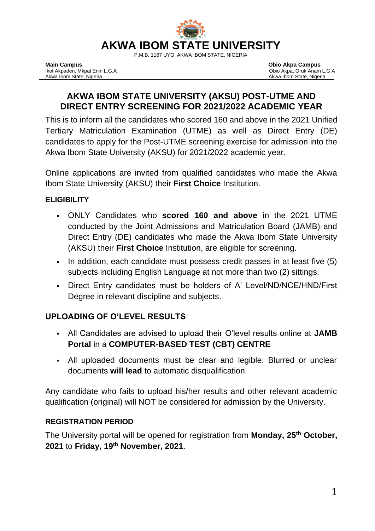

P.M.B. 1167 UYO, AKWA IBOM STATE, NIGERIA

# **[AKWA IBOM STATE UNIVERSITY \(AKSU\) POST-UTME AND](https://www.myschoolgist.com/ng/unilorin-post-utme-form/) [DIRECT ENTRY SCREENING FOR 2021/2022 ACADEMIC Y](https://www.myschoolgist.com/ng/unilorin-post-utme-form/)EAR**

This is to inform all the candidates who scored 160 and above in the 2021 Unified Tertiary Matriculation Examination (UTME) as well as Direct Entry (DE) candidates to apply for the Post-UTME screening exercise for admission into the Akwa Ibom State University (AKSU) for 2021/2022 academic year.

Online applications are invited from qualified candidates who made the Akwa Ibom State University (AKSU) their **First Choice** Institution.

## **ELIGIBILITY**

- ONLY Candidates who **scored 160 and above** in the 2021 UTME conducted by the Joint Admissions and Matriculation Board (JAMB) and Direct Entry (DE) candidates who made the Akwa Ibom State University (AKSU) their **First Choice** Institution, are eligible for screening.
- In addition, each candidate must possess credit passes in at least five (5) subjects including English Language at not more than two (2) sittings.
- Direct Entry candidates must be holders of A' Level/ND/NCE/HND/First Degree in relevant discipline and subjects.

## **UPLOADING OF O'LEVEL RESULTS**

- All Candidates are advised to upload their O'level results online at **JAMB Portal** in a **COMPUTER-BASED TEST (CBT) CENTRE**
- All uploaded documents must be clear and legible. Blurred or unclear documents **will lead** to automatic disqualification.

Any candidate who fails to upload his/her results and other relevant academic qualification (original) will NOT be considered for admission by the University.

### **REGISTRATION PERIOD**

The University portal will be opened for registration from **Monday, 25th October, 2021** to **Friday, 19th November, 2021**.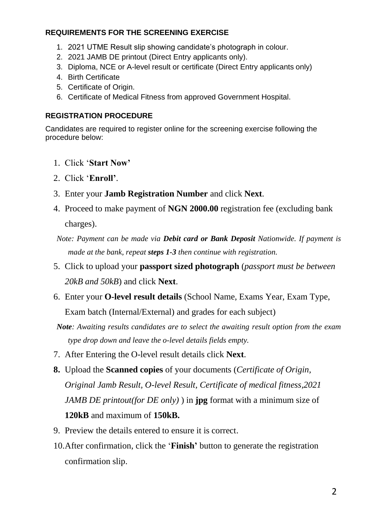#### **REQUIREMENTS FOR THE SCREENING EXERCISE**

- 1. 2021 UTME Result slip showing candidate's photograph in colour.
- 2. 2021 JAMB DE printout (Direct Entry applicants only).
- 3. Diploma, NCE or A-level result or certificate (Direct Entry applicants only)
- 4. Birth Certificate
- 5. Certificate of Origin.
- 6. Certificate of Medical Fitness from approved Government Hospital.

#### **REGISTRATION PROCEDURE**

Candidates are required to register online for the screening exercise following the procedure below:

- 1. Click '**Start Now'**
- 2. Click '**Enroll'**.
- 3. Enter your **Jamb Registration Number** and click **Next**.
- 4. Proceed to make payment of **NGN 2000.00** registration fee (excluding bank charges).
- *Note: Payment can be made via Debit card or Bank Deposit Nationwide. If payment is made at the bank, repeat steps 1-3 then continue with registration.*
- 5. Click to upload your **passport sized photograph** (*passport must be between 20kB and 50kB*) and click **Next**.
- 6. Enter your **O-level result details** (School Name, Exams Year, Exam Type, Exam batch (Internal/External) and grades for each subject)
- *Note: Awaiting results candidates are to select the awaiting result option from the exam type drop down and leave the o-level details fields empty.*
- 7. After Entering the O-level result details click **Next**.
- **8.** Upload the **Scanned copies** of your documents (*Certificate of Origin, Original Jamb Result, O-level Result, Certificate of medical fitness,2021 JAMB DE printout(for DE only)* ) in **jpg** format with a minimum size of **120kB** and maximum of **150kB.**
- 9. Preview the details entered to ensure it is correct.
- 10.After confirmation, click the '**Finish'** button to generate the registration confirmation slip.